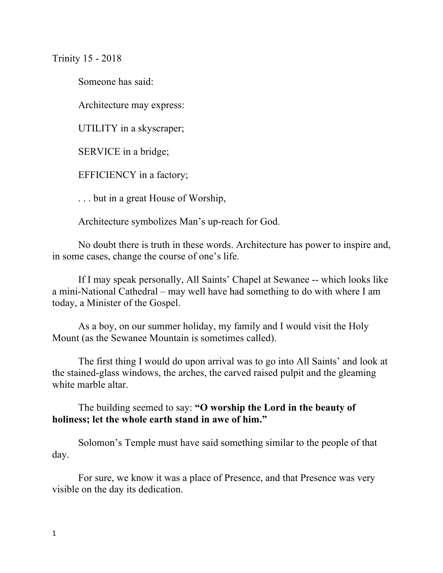Trinity 15 - 2018

Someone has said:

Architecture may express:

UTILITY in a skyscraper;

SERVICE in a bridge;

EFFICIENCY in a factory;

. . . but in a great House of Worship,

Architecture symbolizes Man's up-reach for God.

No doubt there is truth in these words. Architecture has power to inspire and, in some cases, change the course of one's life.

If I may speak personally, All Saints' Chapel at Sewanee -- which looks like a mini-National Cathedral – may well have had something to do with where I am today, a Minister of the Gospel.

As a boy, on our summer holiday, my family and I would visit the Holy Mount (as the Sewanee Mountain is sometimes called).

The first thing I would do upon arrival was to go into All Saints' and look at the stained-glass windows, the arches, the carved raised pulpit and the gleaming white marble altar.

The building seemed to say: **"O worship the Lord in the beauty of holiness; let the whole earth stand in awe of him."** 

Solomon's Temple must have said something similar to the people of that day.

For sure, we know it was a place of Presence, and that Presence was very visible on the day its dedication.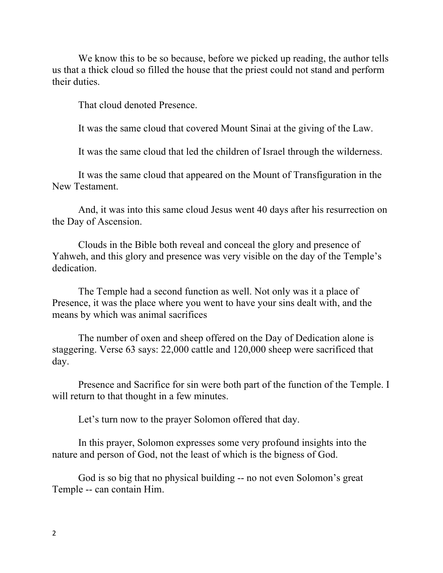We know this to be so because, before we picked up reading, the author tells us that a thick cloud so filled the house that the priest could not stand and perform their duties.

That cloud denoted Presence.

It was the same cloud that covered Mount Sinai at the giving of the Law.

It was the same cloud that led the children of Israel through the wilderness.

It was the same cloud that appeared on the Mount of Transfiguration in the New Testament.

And, it was into this same cloud Jesus went 40 days after his resurrection on the Day of Ascension.

Clouds in the Bible both reveal and conceal the glory and presence of Yahweh, and this glory and presence was very visible on the day of the Temple's dedication.

The Temple had a second function as well. Not only was it a place of Presence, it was the place where you went to have your sins dealt with, and the means by which was animal sacrifices

The number of oxen and sheep offered on the Day of Dedication alone is staggering. Verse 63 says: 22,000 cattle and 120,000 sheep were sacrificed that day.

Presence and Sacrifice for sin were both part of the function of the Temple. I will return to that thought in a few minutes.

Let's turn now to the prayer Solomon offered that day.

In this prayer, Solomon expresses some very profound insights into the nature and person of God, not the least of which is the bigness of God.

God is so big that no physical building -- no not even Solomon's great Temple -- can contain Him.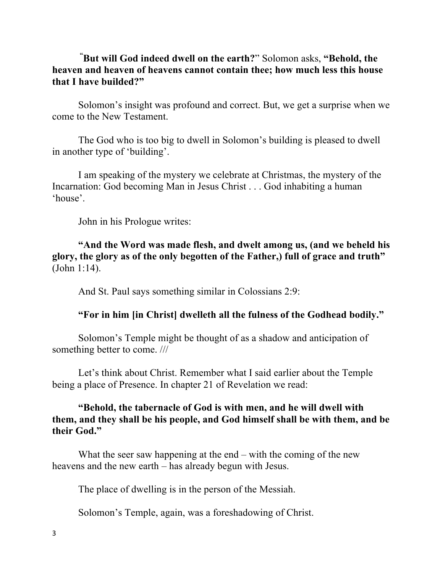## **" But will God indeed dwell on the earth?**" Solomon asks, **"Behold, the heaven and heaven of heavens cannot contain thee; how much less this house that I have builded?"**

Solomon's insight was profound and correct. But, we get a surprise when we come to the New Testament.

The God who is too big to dwell in Solomon's building is pleased to dwell in another type of 'building'.

I am speaking of the mystery we celebrate at Christmas, the mystery of the Incarnation: God becoming Man in Jesus Christ . . . God inhabiting a human 'house'.

John in his Prologue writes:

**"And the Word was made flesh, and dwelt among us, (and we beheld his glory, the glory as of the only begotten of the Father,) full of grace and truth"** (John 1:14).

And St. Paul says something similar in Colossians 2:9:

## **"For in him [in Christ] dwelleth all the fulness of the Godhead bodily."**

Solomon's Temple might be thought of as a shadow and anticipation of something better to come. ///

Let's think about Christ. Remember what I said earlier about the Temple being a place of Presence. In chapter 21 of Revelation we read:

## **"Behold, the tabernacle of God is with men, and he will dwell with them, and they shall be his people, and God himself shall be with them, and be their God."**

What the seer saw happening at the end – with the coming of the new heavens and the new earth – has already begun with Jesus.

The place of dwelling is in the person of the Messiah.

Solomon's Temple, again, was a foreshadowing of Christ.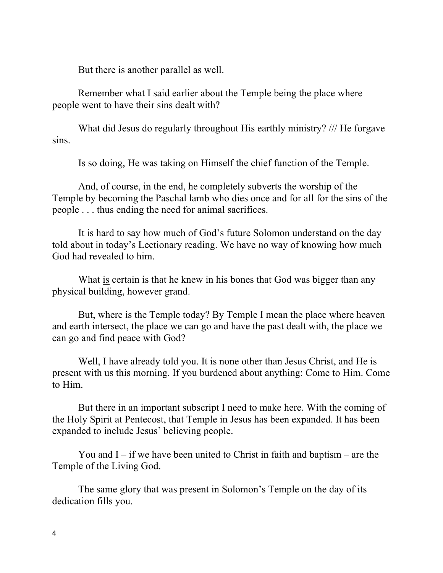But there is another parallel as well.

Remember what I said earlier about the Temple being the place where people went to have their sins dealt with?

What did Jesus do regularly throughout His earthly ministry? /// He forgave sins.

Is so doing, He was taking on Himself the chief function of the Temple.

And, of course, in the end, he completely subverts the worship of the Temple by becoming the Paschal lamb who dies once and for all for the sins of the people . . . thus ending the need for animal sacrifices.

It is hard to say how much of God's future Solomon understand on the day told about in today's Lectionary reading. We have no way of knowing how much God had revealed to him.

What is certain is that he knew in his bones that God was bigger than any physical building, however grand.

But, where is the Temple today? By Temple I mean the place where heaven and earth intersect, the place we can go and have the past dealt with, the place we can go and find peace with God?

Well, I have already told you. It is none other than Jesus Christ, and He is present with us this morning. If you burdened about anything: Come to Him. Come to Him.

But there in an important subscript I need to make here. With the coming of the Holy Spirit at Pentecost, that Temple in Jesus has been expanded. It has been expanded to include Jesus' believing people.

You and  $I - if$  we have been united to Christ in faith and baptism – are the Temple of the Living God.

The same glory that was present in Solomon's Temple on the day of its dedication fills you.